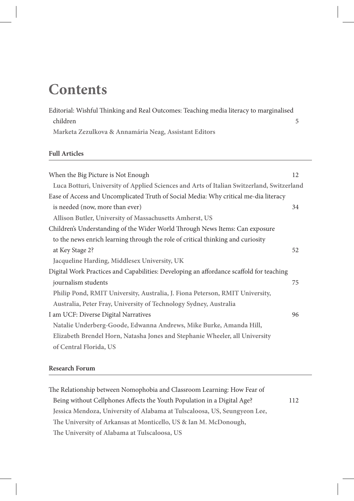# **Contents**

| Editorial: Wishful Thinking and Real Outcomes: Teaching media literacy to marginalised |  |
|----------------------------------------------------------------------------------------|--|
| children                                                                               |  |
| Marketa Zezulkova & Annamária Neag, Assistant Editors                                  |  |

## **Full Articles**

| When the Big Picture is Not Enough                                                        | 12 |
|-------------------------------------------------------------------------------------------|----|
| Luca Botturi, University of Applied Sciences and Arts of Italian Switzerland, Switzerland |    |
| Ease of Access and Uncomplicated Truth of Social Media: Why critical me-dia literacy      |    |
| is needed (now, more than ever)                                                           | 34 |
| Allison Butler, University of Massachusetts Amherst, US                                   |    |
| Children's Understanding of the Wider World Through News Items: Can exposure              |    |
| to the news enrich learning through the role of critical thinking and curiosity           |    |
| at Key Stage 2?                                                                           | 52 |
| Jacqueline Harding, Middlesex University, UK                                              |    |
| Digital Work Practices and Capabilities: Developing an affordance scaffold for teaching   |    |
| journalism students                                                                       | 75 |
| Philip Pond, RMIT University, Australia, J. Fiona Peterson, RMIT University,              |    |
| Australia, Peter Fray, University of Technology Sydney, Australia                         |    |
| I am UCF: Diverse Digital Narratives                                                      | 96 |
| Natalie Underberg-Goode, Edwanna Andrews, Mike Burke, Amanda Hill,                        |    |
| Elizabeth Brendel Horn, Natasha Jones and Stephanie Wheeler, all University               |    |
| of Central Florida, US                                                                    |    |
|                                                                                           |    |

## **Research Forum**

| The Relationship between Nomophobia and Classroom Learning: How Fear of   |     |
|---------------------------------------------------------------------------|-----|
| Being without Cellphones Affects the Youth Population in a Digital Age?   | 112 |
| Jessica Mendoza, University of Alabama at Tulscaloosa, US, Seungyeon Lee, |     |
| The University of Arkansas at Monticello, US & Ian M. McDonough,          |     |
| The University of Alabama at Tulscaloosa, US                              |     |